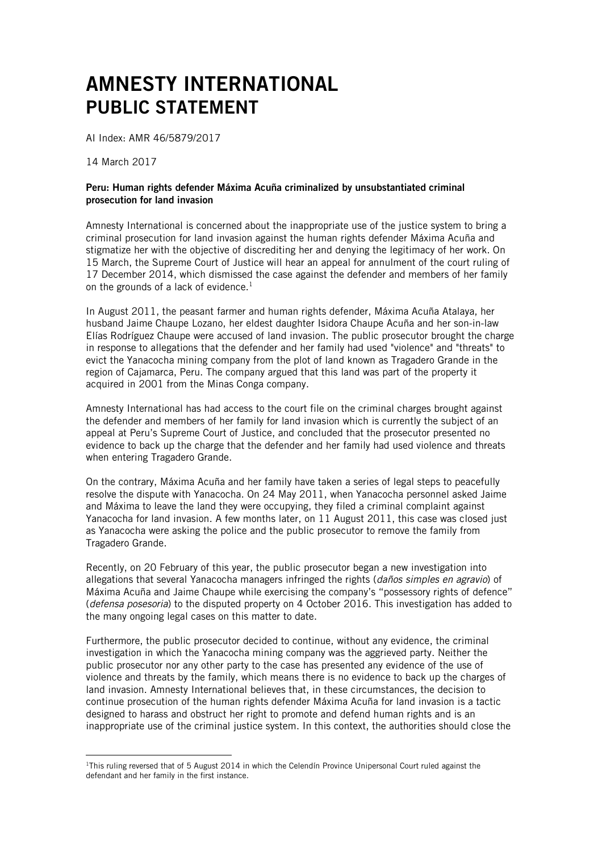## AMNESTY INTERNATIONAL PUBLIC STATEMENT

AI Index: AMR 46/5879/2017

14 March 2017

 $\overline{a}$ 

## Peru: Human rights defender Máxima Acuña criminalized by unsubstantiated criminal prosecution for land invasion

Amnesty International is concerned about the inappropriate use of the justice system to bring a criminal prosecution for land invasion against the human rights defender Máxima Acuña and stigmatize her with the objective of discrediting her and denying the legitimacy of her work. On 15 March, the Supreme Court of Justice will hear an appeal for annulment of the court ruling of 17 December 2014, which dismissed the case against the defender and members of her family on the grounds of a lack of evidence. $<sup>1</sup>$ </sup>

In August 2011, the peasant farmer and human rights defender, Máxima Acuña Atalaya, her husband Jaime Chaupe Lozano, her eldest daughter Isidora Chaupe Acuña and her son-in-law Elías Rodríguez Chaupe were accused of land invasion. The public prosecutor brought the charge in response to allegations that the defender and her family had used "violence" and "threats" to evict the Yanacocha mining company from the plot of land known as Tragadero Grande in the region of Cajamarca, Peru. The company argued that this land was part of the property it acquired in 2001 from the Minas Conga company.

Amnesty International has had access to the court file on the criminal charges brought against the defender and members of her family for land invasion which is currently the subject of an appeal at Peru's Supreme Court of Justice, and concluded that the prosecutor presented no evidence to back up the charge that the defender and her family had used violence and threats when entering Tragadero Grande.

On the contrary, Máxima Acuña and her family have taken a series of legal steps to peacefully resolve the dispute with Yanacocha. On 24 May 2011, when Yanacocha personnel asked Jaime and Máxima to leave the land they were occupying, they filed a criminal complaint against Yanacocha for land invasion. A few months later, on 11 August 2011, this case was closed just as Yanacocha were asking the police and the public prosecutor to remove the family from Tragadero Grande.

Recently, on 20 February of this year, the public prosecutor began a new investigation into allegations that several Yanacocha managers infringed the rights (*daños simples en agravio*) of Máxima Acuña and Jaime Chaupe while exercising the company's "possessory rights of defence" (*defensa posesoria*) to the disputed property on 4 October 2016. This investigation has added to the many ongoing legal cases on this matter to date.

Furthermore, the public prosecutor decided to continue, without any evidence, the criminal investigation in which the Yanacocha mining company was the aggrieved party. Neither the public prosecutor nor any other party to the case has presented any evidence of the use of violence and threats by the family, which means there is no evidence to back up the charges of land invasion. Amnesty International believes that, in these circumstances, the decision to continue prosecution of the human rights defender Máxima Acuña for land invasion is a tactic designed to harass and obstruct her right to promote and defend human rights and is an inappropriate use of the criminal justice system. In this context, the authorities should close the

<sup>&</sup>lt;sup>1</sup>This ruling reversed that of 5 August 2014 in which the Celendín Province Unipersonal Court ruled against the defendant and her family in the first instance.